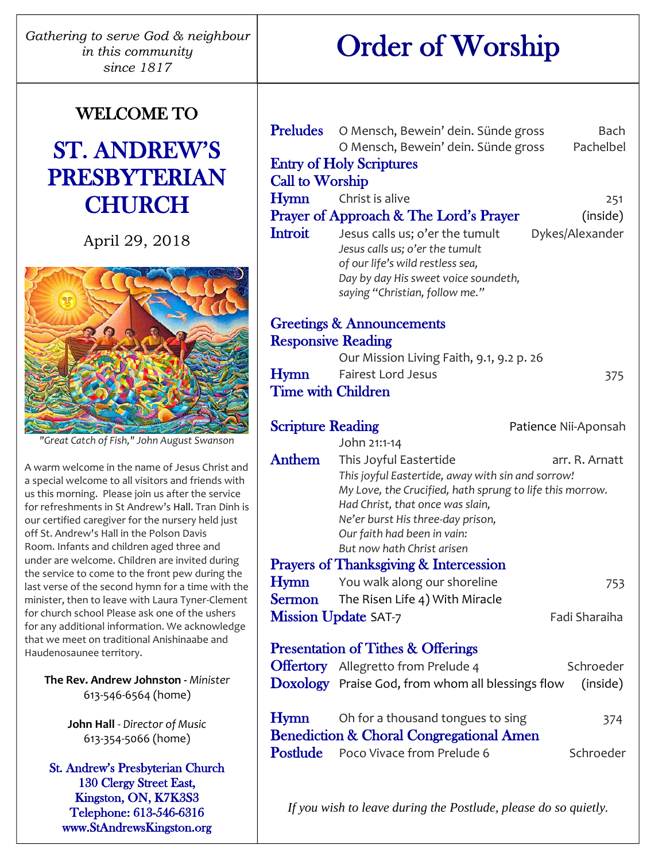*Gathering to serve God & neighbour in this community since 1817*

# Order of Worship

# WELCOME TO

# ST. ANDREW'S PRESBYTERIAN **CHURCH**

April 29, 2018



*"Great Catch of Fish," John August Swanson*

A warm welcome in the name of Jesus Christ and a special welcome to all visitors and friends with us this morning. Please join us after the service for refreshments in St Andrew's Hall. Tran Dinh is our certified caregiver for the nursery held just off St. Andrew's Hall in the Polson Davis Room. Infants and children aged three and under are welcome. Children are invited during the service to come to the front pew during the last verse of the second hymn for a time with the minister, then to leave with Laura Tyner-Clement for church school Please ask one of the ushers for any additional information. We acknowledge that we meet on traditional Anishinaabe and Haudenosaunee territory.

**The Rev. Andrew Johnston -** *Minister* 613-546-6564 (home)

> **John Hall** - *Director of Music* 613-354-5066 (home)

St. Andrew's Presbyterian Church 130 Clergy Street East, Kingston, ON, K7K3S3 Telephone: 613-546-6316 www.StAndrewsKingston.org

| Preludes                             | O Mensch, Bewein' dein. Sünde gross<br>O Mensch, Bewein' dein. Sünde gross                                                                                                       | Bach<br>Pachelbel    |  |  |
|--------------------------------------|----------------------------------------------------------------------------------------------------------------------------------------------------------------------------------|----------------------|--|--|
| <b>Entry of Holy Scriptures</b>      |                                                                                                                                                                                  |                      |  |  |
| <b>Call to Worship</b>               |                                                                                                                                                                                  |                      |  |  |
| Hymn                                 | Christ is alive                                                                                                                                                                  | 251                  |  |  |
|                                      | Prayer of Approach & The Lord's Prayer                                                                                                                                           | (inside)             |  |  |
| Introit                              | Jesus calls us; o'er the tumult<br>Jesus calls us; o'er the tumult<br>of our life's wild restless sea,<br>Day by day His sweet voice soundeth,<br>saying "Christian, follow me." | Dykes/Alexander      |  |  |
| <b>Greetings &amp; Announcements</b> |                                                                                                                                                                                  |                      |  |  |
| <b>Responsive Reading</b>            |                                                                                                                                                                                  |                      |  |  |
|                                      | Our Mission Living Faith, 9.1, 9.2 p. 26                                                                                                                                         |                      |  |  |
| Hymn                                 | Fairest Lord Jesus                                                                                                                                                               | 375                  |  |  |
| <b>Time with Children</b>            |                                                                                                                                                                                  |                      |  |  |
|                                      |                                                                                                                                                                                  |                      |  |  |
| <b>Scripture Reading</b>             |                                                                                                                                                                                  | Patience Nii-Aponsah |  |  |
|                                      | John 21:1-14                                                                                                                                                                     |                      |  |  |
|                                      |                                                                                                                                                                                  |                      |  |  |
| Anthem                               | This Joyful Eastertide                                                                                                                                                           | arr. R. Arnatt       |  |  |
|                                      | This joyful Eastertide, away with sin and sorrow!                                                                                                                                |                      |  |  |
|                                      | My Love, the Crucified, hath sprung to life this morrow.                                                                                                                         |                      |  |  |
|                                      | Had Christ, that once was slain,<br>Ne'er burst His three-day prison,                                                                                                            |                      |  |  |
|                                      | Our faith had been in vain:                                                                                                                                                      |                      |  |  |
|                                      | But now hath Christ arisen                                                                                                                                                       |                      |  |  |
|                                      | <b>Prayers of Thanksgiving &amp; Intercession</b>                                                                                                                                |                      |  |  |
| <b>Hymn</b>                          | You walk along our shoreline                                                                                                                                                     | 753                  |  |  |
|                                      | <b>Sermon</b> The Risen Life 4) With Miracle                                                                                                                                     |                      |  |  |
|                                      | <b>Mission Update SAT-7</b>                                                                                                                                                      | Fadi Sharaiha        |  |  |
|                                      |                                                                                                                                                                                  |                      |  |  |
|                                      | <b>Presentation of Tithes &amp; Offerings</b>                                                                                                                                    |                      |  |  |
|                                      | <b>Offertory</b> Allegretto from Prelude 4                                                                                                                                       | Schroeder            |  |  |
|                                      | <b>Doxology</b> Praise God, from whom all blessings flow                                                                                                                         | (inside)             |  |  |
|                                      |                                                                                                                                                                                  |                      |  |  |
| Hymn                                 | Oh for a thousand tongues to sing                                                                                                                                                | 374                  |  |  |
|                                      | <b>Benediction &amp; Choral Congregational Amen</b>                                                                                                                              |                      |  |  |
|                                      | <b>Postlude</b> Poco Vivace from Prelude 6                                                                                                                                       | Schroeder            |  |  |

*If you wish to leave during the Postlude, please do so quietly.*

St. Andrew's Presbyterian Church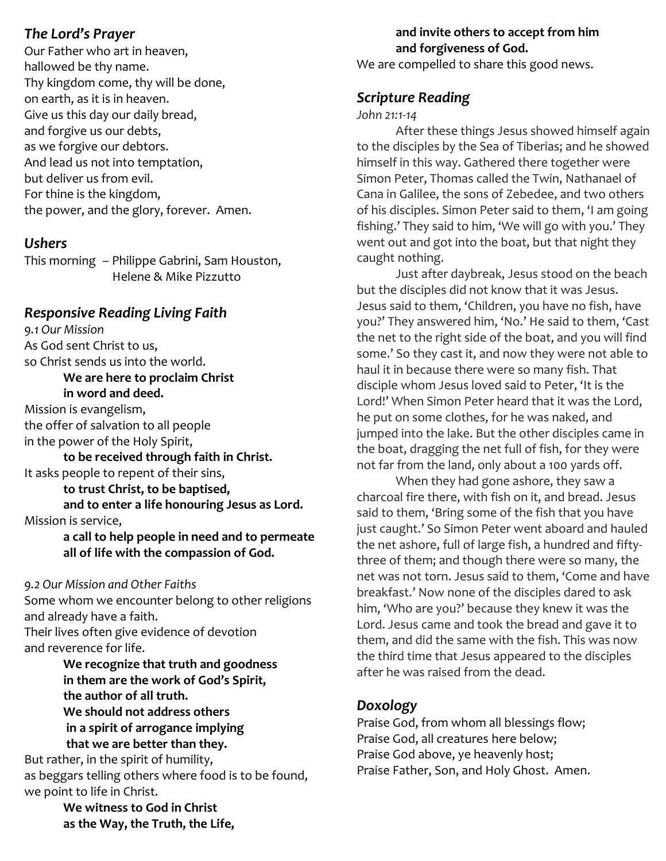# *The Lord's Prayer*

Our Father who art in heaven, hallowed be thy name. Thy kingdom come, thy will be done, on earth, as it is in heaven. Give us this day our daily bread, and forgive us our debts, as we forgive our debtors. And lead us not into temptation, but deliver us from evil. For thine is the kingdom, the power, and the glory, forever. Amen.

# *Ushers*

This morning – Philippe Gabrini, Sam Houston, Helene & Mike Pizzutto

# *Responsive Reading Living Faith*

*9.1 Our Mission* As God sent Christ to us, so Christ sends us into the world.

**We are here to proclaim Christ in word and deed.**

Mission is evangelism, the offer of salvation to all people in the power of the Holy Spirit,

**to be received through faith in Christ.** It asks people to repent of their sins,

**to trust Christ, to be baptised, and to enter a life honouring Jesus as Lord.** Mission is service,

**a call to help people in need and to permeate all of life with the compassion of God.**

*9.2 Our Mission and Other Faiths*

Some whom we encounter belong to other religions and already have a faith.

Their lives often give evidence of devotion and reverence for life.

> **We recognize that truth and goodness in them are the work of God's Spirit, the author of all truth. We should not address others in a spirit of arrogance implying that we are better than they.**

But rather, in the spirit of humility, as beggars telling others where food is to be found, we point to life in Christ.

> **We witness to God in Christ as the Way, the Truth, the Life,**

#### **and invite others to accept from him and forgiveness of God.**

We are compelled to share this good news.

# *Scripture Reading*

#### *John 21:1-14*

After these things Jesus showed himself again to the disciples by the Sea of Tiberias; and he showed himself in this way. Gathered there together were Simon Peter, Thomas called the Twin, Nathanael of Cana in Galilee, the sons of Zebedee, and two others of his disciples. Simon Peter said to them, 'I am going fishing.' They said to him, 'We will go with you.' They went out and got into the boat, but that night they caught nothing.

Just after daybreak, Jesus stood on the beach but the disciples did not know that it was Jesus. Jesus said to them, 'Children, you have no fish, have you?' They answered him, 'No.' He said to them, 'Cast the net to the right side of the boat, and you will find some.' So they cast it, and now they were not able to haul it in because there were so many fish. That disciple whom Jesus loved said to Peter, 'It is the Lord!' When Simon Peter heard that it was the Lord, he put on some clothes, for he was naked, and jumped into the lake. But the other disciples came in the boat, dragging the net full of fish, for they were not far from the land, only about a 100 yards off.

When they had gone ashore, they saw a charcoal fire there, with fish on it, and bread. Jesus said to them, 'Bring some of the fish that you have just caught.' So Simon Peter went aboard and hauled the net ashore, full of large fish, a hundred and fiftythree of them; and though there were so many, the net was not torn. Jesus said to them, 'Come and have breakfast.' Now none of the disciples dared to ask him, 'Who are you?' because they knew it was the Lord. Jesus came and took the bread and gave it to them, and did the same with the fish. This was now the third time that Jesus appeared to the disciples after he was raised from the dead.

# *Doxology*

Praise God, from whom all blessings flow; Praise God, all creatures here below; Praise God above, ye heavenly host; Praise Father, Son, and Holy Ghost. Amen.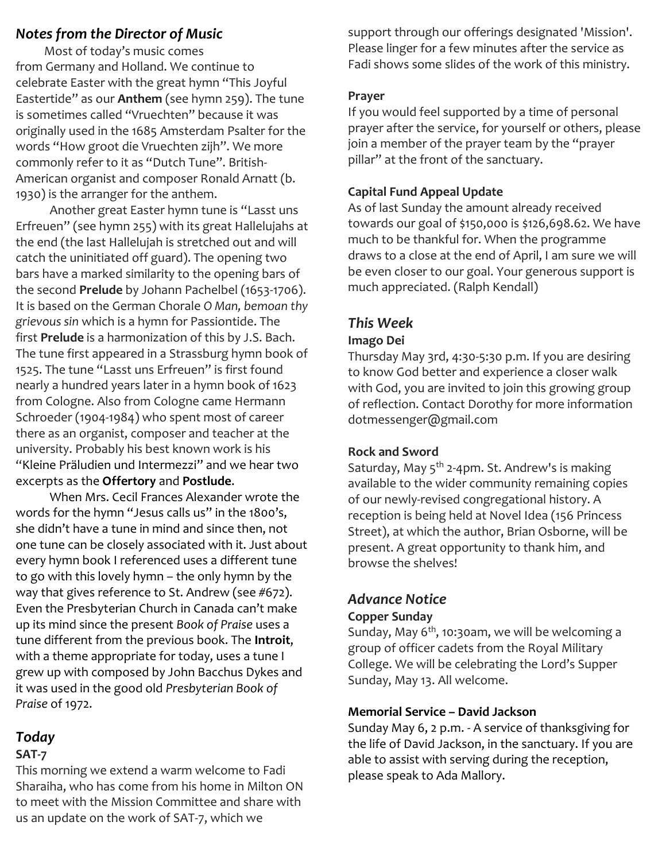# *Notes from the Director of Music*

Most of today's music comes from Germany and Holland. We continue to celebrate Easter with the great hymn "This Joyful Eastertide" as our **Anthem** (see hymn 259). The tune is sometimes called "Vruechten" because it was originally used in the 1685 Amsterdam Psalter for the words "How groot die Vruechten zijh". We more commonly refer to it as "Dutch Tune". British-American organist and composer Ronald Arnatt (b. 1930) is the arranger for the anthem.

Another great Easter hymn tune is "Lasst uns Erfreuen" (see hymn 255) with its great Hallelujahs at the end (the last Hallelujah is stretched out and will catch the uninitiated off guard). The opening two bars have a marked similarity to the opening bars of the second **Prelude** by Johann Pachelbel (1653-1706). It is based on the German Chorale *O Man, bemoan thy grievous sin* which is a hymn for Passiontide. The first **Prelude** is a harmonization of this by J.S. Bach. The tune first appeared in a Strassburg hymn book of 1525. The tune "Lasst uns Erfreuen" is first found nearly a hundred years later in a hymn book of 1623 from Cologne. Also from Cologne came Hermann Schroeder (1904-1984) who spent most of career there as an organist, composer and teacher at the university. Probably his best known work is his "Kleine Präludien und Intermezzi" and we hear two excerpts as the **Offertory** and **Postlude**.

When Mrs. Cecil Frances Alexander wrote the words for the hymn "Jesus calls us" in the 1800's, she didn't have a tune in mind and since then, not one tune can be closely associated with it. Just about every hymn book I referenced uses a different tune to go with this lovely hymn – the only hymn by the way that gives reference to St. Andrew (see #672). Even the Presbyterian Church in Canada can't make up its mind since the present *Book of Praise* uses a tune different from the previous book. The **Introit**, with a theme appropriate for today, uses a tune I grew up with composed by John Bacchus Dykes and it was used in the good old *Presbyterian Book of Praise* of 1972.

# *Today*

# **SAT-7**

This morning we extend a warm welcome to Fadi Sharaiha, who has come from his home in Milton ON to meet with the Mission Committee and share with us an update on the work of SAT-7, which we

support through our offerings designated 'Mission'. Please linger for a few minutes after the service as Fadi shows some slides of the work of this ministry.

#### **Prayer**

If you would feel supported by a time of personal prayer after the service, for yourself or others, please join a member of the prayer team by the "prayer pillar" at the front of the sanctuary.

# **Capital Fund Appeal Update**

As of last Sunday the amount already received towards our goal of \$150,000 is \$126,698.62. We have much to be thankful for. When the programme draws to a close at the end of April, I am sure we will be even closer to our goal. Your generous support is much appreciated. (Ralph Kendall)

# *This Week*

#### **Imago Dei**

Thursday May 3rd, 4:30-5:30 p.m. If you are desiring to know God better and experience a closer walk with God, you are invited to join this growing group of reflection. Contact Dorothy for more information dotmessenger@gmail.com

#### **Rock and Sword**

Saturday, May  $5^{th}$  2-4pm. St. Andrew's is making available to the wider community remaining copies of our newly-revised congregational history. A reception is being held at Novel Idea (156 Princess Street), at which the author, Brian Osborne, will be present. A great opportunity to thank him, and browse the shelves!

# *Advance Notice*

#### **Copper Sunday**

Sunday, May  $6<sup>th</sup>$ , 10:30am, we will be welcoming a group of officer cadets from the Royal Military College. We will be celebrating the Lord's Supper Sunday, May 13. All welcome.

#### **Memorial Service – David Jackson**

Sunday May 6, 2 p.m. - A service of thanksgiving for the life of David Jackson, in the sanctuary. If you are able to assist with serving during the reception, please speak to Ada Mallory.